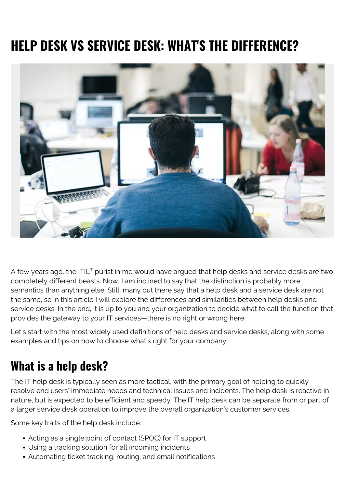# **HELP DESK VS SERVICE DESK: WHAT'S THE DIFFERENCE?**



A few years ago, the ITIL $^{\circ}$  purist in me would have argued that help desks and service desks are two completely different beasts. Now, I am inclined to say that the distinction is probably more semantics than anything else. Still, many out there say that a help desk and a service desk are not the same, so in this article I will explore the differences and similarities between help desks and service desks. In the end, it is up to you and your organization to decide what to call the function that provides the gateway to your IT services—there is no right or wrong here.

Let's start with the most widely used definitions of help desks and service desks, along with some examples and tips on how to choose what's right for your company.

# **What is a help desk?**

The IT help desk is typically seen as more tactical, with the primary goal of helping to quickly resolve end users' immediate needs and technical issues and incidents. The help desk is reactive in nature, but is expected to be efficient and speedy. The IT help desk can be separate from or part of a larger service desk operation to improve the overall organization's customer services.

Some key traits of the help desk include:

- Acting as a single point of contact (SPOC) for IT support
- Using a tracking solution for all incoming incidents
- Automating ticket tracking, routing, and email notifications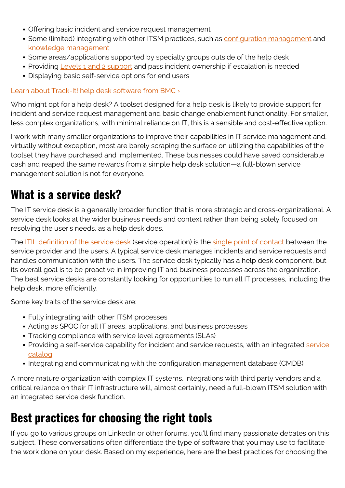- Offering basic incident and service request management
- Some (limited) integrating with other ITSM practices, such as [configuration management](https://blogs.bmc.com/blogs/itil-asset-configuration-management/) and [knowledge management](https://blogs.bmc.com/blogs/introduction-to-knowledge-management/)
- Some areas/applications supported by specialty groups outside of the help desk
- Providing [Levels 1 and 2 support](https://blogs.bmc.com/blogs/support-levels-level-1-level-2-level-3/) and pass incident ownership if escalation is needed
- Displaying basic self-service options for end users

#### [Learn about Track-It! help desk software from BMC ›](https://www.trackit.com/)

Who might opt for a help desk? A toolset designed for a help desk is likely to provide support for incident and service request management and basic change enablement functionality. For smaller, less complex organizations, with minimal reliance on IT, this is a sensible and cost-effective option.

I work with many smaller organizations to improve their capabilities in IT service management and, virtually without exception, most are barely scraping the surface on utilizing the capabilities of the toolset they have purchased and implemented. These businesses could have saved considerable cash and reaped the same rewards from a simple help desk solution—a full-blown service management solution is not for everyone.

## **What is a service desk?**

The IT service desk is a generally broader function that is more strategic and cross-organizational. A service desk looks at the wider business needs and context rather than being solely focused on resolving the user's needs, as a help desk does.

The **ITIL** definition of the service desk (service operation) is the [single point of contact](https://blogs.bmc.com/blogs/spoc-single-point-of-contact/) between the service provider and the users. A typical service desk manages incidents and service requests and handles communication with the users. The service desk typically has a help desk component, but its overall goal is to be proactive in improving IT and business processes across the organization. The best service desks are constantly looking for opportunities to run all IT processes, including the help desk, more efficiently.

Some key traits of the service desk are:

- Fully integrating with other ITSM processes
- Acting as SPOC for all IT areas, applications, and business processes
- Tracking compliance with service level agreements (SLAs)
- Providing a self-[service](https://blogs.bmc.com/blogs/business-service-catalog-vs-technical-service-catalog/) capability for incident and service requests, with an integrated service [catalog](https://blogs.bmc.com/blogs/business-service-catalog-vs-technical-service-catalog/)
- Integrating and communicating with the configuration management database (CMDB)

A more mature organization with complex IT systems, integrations with third party vendors and a critical reliance on their IT infrastructure will, almost certainly, need a full-blown ITSM solution with an integrated service desk function.

# **Best practices for choosing the right tools**

If you go to various groups on LinkedIn or other forums, you'll find many passionate debates on this subject. These conversations often differentiate the type of software that you may use to facilitate the work done on your desk. Based on my experience, here are the best practices for choosing the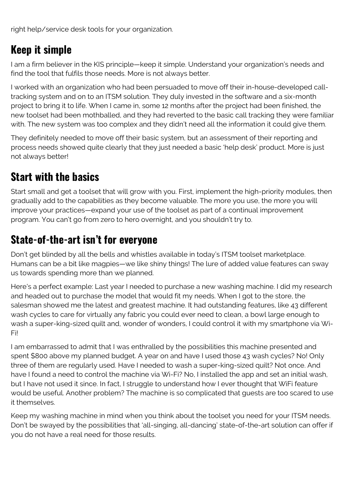right help/service desk tools for your organization.

### **Keep it simple**

I am a firm believer in the KIS principle—keep it simple. Understand your organization's needs and find the tool that fulfils those needs. More is not always better.

I worked with an organization who had been persuaded to move off their in-house-developed calltracking system and on to an ITSM solution. They duly invested in the software and a six-month project to bring it to life. When I came in, some 12 months after the project had been finished, the new toolset had been mothballed, and they had reverted to the basic call tracking they were familiar with. The new system was too complex and they didn't need all the information it could give them.

They definitely needed to move off their basic system, but an assessment of their reporting and process needs showed quite clearly that they just needed a basic 'help desk' product. More is just not always better!

### **Start with the basics**

Start small and get a toolset that will grow with you. First, implement the high-priority modules, then gradually add to the capabilities as they become valuable. The more you use, the more you will improve your practices—expand your use of the toolset as part of a continual improvement program. You can't go from zero to hero overnight, and you shouldn't try to.

#### **State-of-the-art isn't for everyone**

Don't get blinded by all the bells and whistles available in today's ITSM toolset marketplace. Humans can be a bit like magpies—we like shiny things! The lure of added value features can sway us towards spending more than we planned.

Here's a perfect example: Last year I needed to purchase a new washing machine. I did my research and headed out to purchase the model that would fit my needs. When I got to the store, the salesman showed me the latest and greatest machine. It had outstanding features, like 43 different wash cycles to care for virtually any fabric you could ever need to clean, a bowl large enough to wash a super-king-sized quilt and, wonder of wonders, I could control it with my smartphone via Wi-Fi!

I am embarrassed to admit that I was enthralled by the possibilities this machine presented and spent \$800 above my planned budget. A year on and have I used those 43 wash cycles? No! Only three of them are regularly used. Have I needed to wash a super-king-sized quilt? Not once. And have I found a need to control the machine via Wi-Fi? No, I installed the app and set an initial wash, but I have not used it since. In fact, I struggle to understand how I ever thought that WiFi feature would be useful. Another problem? The machine is so complicated that guests are too scared to use it themselves.

Keep my washing machine in mind when you think about the toolset you need for your ITSM needs. Don't be swayed by the possibilities that 'all-singing, all-dancing' state-of-the-art solution can offer if you do not have a real need for those results.